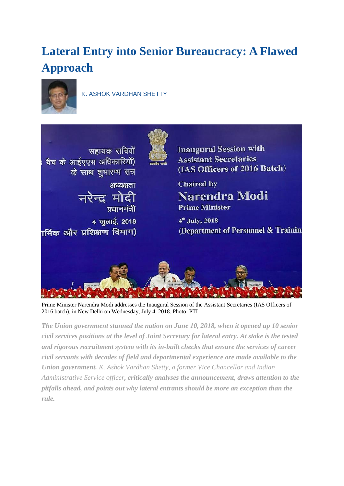# **Lateral Entry into Senior Bureaucracy: A Flawed Approach**



[K. ASHOK VARDHAN SHETTY](http://eceappcluster:8080/thc/profile/author/K.-Ashok-Vardhan-Shetty-21455/)



Prime Minister Narendra Modi addresses the Inaugural Session of the Assistant Secretaries (IAS Officers of 2016 batch), in New Delhi on Wednesday, July 4, 2018. Photo: PTI

*The Union government stunned the nation on June 10, 2018, when it opened up 10 senior civil services positions at the level of Joint Secretary for lateral entry. At stake is the tested and rigorous recruitment system with its in-built checks that ensure the services of career civil servants with decades of field and departmental experience are made available to the Union government. K. Ashok Vardhan Shetty, a former Vice Chancellor and Indian Administrative Service officer, critically analyses the announcement, draws attention to the pitfalls ahead, and points out why lateral entrants should be more an exception than the rule.*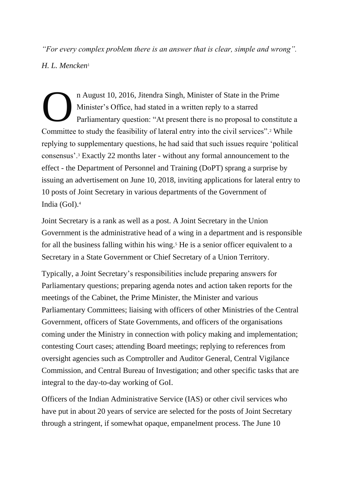*"For every complex problem there is an answer that is clear, simple and wrong". H. L. Mencken*<sup>1</sup>

n August 10, 2016, Jitendra Singh, Minister of State in the Prime Minister's Office, had stated in a written reply to a starred Parliamentary question: "At present there is no proposal to constitute a Committee to study the feasibility of lateral entry into the civil services".<sup>2</sup> While replying to supplementary questions, he had said that such issues require 'political consensus'.<sup>3</sup> Exactly 22 months later - without any formal announcement to the effect - the Department of Personnel and Training (DoPT) sprang a surprise by issuing an advertisement on June 10, 2018, inviting applications for lateral entry to 10 posts of Joint Secretary in various departments of the Government of India (GoI).<sup>4</sup> O

Joint Secretary is a rank as well as a post. A Joint Secretary in the Union Government is the administrative head of a wing in a department and is responsible for all the business falling within his wing.<sup>5</sup> He is a senior officer equivalent to a Secretary in a State Government or Chief Secretary of a Union Territory.

Typically, a Joint Secretary's responsibilities include preparing answers for Parliamentary questions; preparing agenda notes and action taken reports for the meetings of the Cabinet, the Prime Minister, the Minister and various Parliamentary Committees; liaising with officers of other Ministries of the Central Government, officers of State Governments, and officers of the organisations coming under the Ministry in connection with policy making and implementation; contesting Court cases; attending Board meetings; replying to references from oversight agencies such as Comptroller and Auditor General, Central Vigilance Commission, and Central Bureau of Investigation; and other specific tasks that are integral to the day-to-day working of GoI.

Officers of the Indian Administrative Service (IAS) or other civil services who have put in about 20 years of service are selected for the posts of Joint Secretary through a stringent, if somewhat opaque, empanelment process. The June 10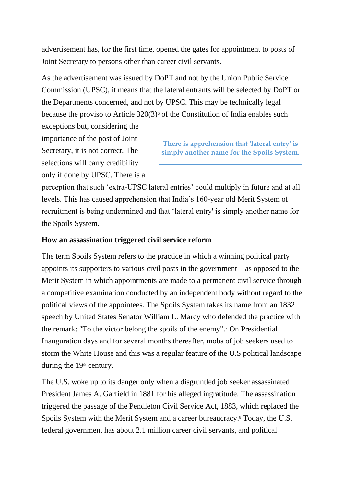advertisement has, for the first time, opened the gates for appointment to posts of Joint Secretary to persons other than career civil servants.

As the advertisement was issued by DoPT and not by the Union Public Service Commission (UPSC), it means that the lateral entrants will be selected by DoPT or the Departments concerned, and not by UPSC. This may be technically legal because the proviso to Article  $320(3)$ <sup>6</sup> of the Constitution of India enables such

exceptions but, considering the importance of the post of Joint Secretary, it is not correct. The selections will carry credibility only if done by UPSC. There is a

**There is apprehension that 'lateral entry' is simply another name for the Spoils System.**

perception that such 'extra-UPSC lateral entries' could multiply in future and at all levels. This has caused apprehension that India's 160-year old Merit System of recruitment is being undermined and that 'lateral entry' is simply another name for the Spoils System.

#### **How an assassination triggered civil service reform**

The term Spoils System refers to the practice in which a winning political party appoints its supporters to various civil posts in the government – as opposed to the Merit System in which appointments are made to a permanent civil service through a competitive examination conducted by an independent body without regard to the political views of the appointees. The Spoils System takes its name from an 1832 speech by United States Senator William L. Marcy who defended the practice with the remark: "To the victor belong the spoils of the enemy".<sup>7</sup> On Presidential Inauguration days and for several months thereafter, mobs of job seekers used to storm the White House and this was a regular feature of the U.S political landscape during the  $19<sup>th</sup>$  century.

The U.S. woke up to its danger only when a disgruntled job seeker assassinated President James A. Garfield in 1881 for his alleged ingratitude. The assassination triggered the passage of the Pendleton Civil Service Act, 1883, which replaced the Spoils System with the Merit System and a career bureaucracy.<sup>8</sup> Today, the U.S. federal government has about 2.1 million career civil servants, and political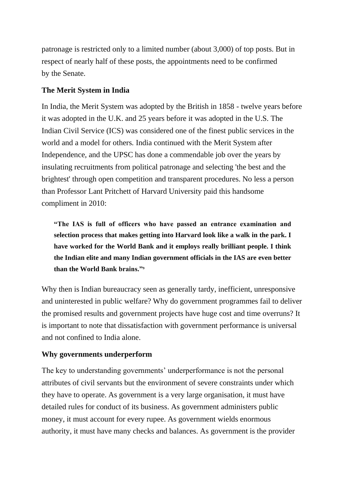patronage is restricted only to a limited number (about 3,000) of top posts. But in respect of nearly half of these posts, the appointments need to be confirmed by the Senate.

## **The Merit System in India**

In India, the Merit System was adopted by the British in 1858 - twelve years before it was adopted in the U.K. and 25 years before it was adopted in the U.S. The Indian Civil Service (ICS) was considered one of the finest public services in the world and a model for others*.* India continued with the Merit System after Independence, and the UPSC has done a commendable job over the years by insulating recruitments from political patronage and selecting 'the best and the brightest' through open competition and transparent procedures. No less a person than Professor Lant Pritchett of Harvard University paid this handsome compliment in 2010:

**"The IAS is full of officers who have passed an entrance examination and selection process that makes getting into Harvard look like a walk in the park. I have worked for the World Bank and it employs really brilliant people. I think the Indian elite and many Indian government officials in the IAS are even better than the World Bank brains."<sup>9</sup>**

Why then is Indian bureaucracy seen as generally tardy, inefficient, unresponsive and uninterested in public welfare? Why do government programmes fail to deliver the promised results and government projects have huge cost and time overruns? It is important to note that dissatisfaction with government performance is universal and not confined to India alone.

#### **Why governments underperform**

The key to understanding governments' underperformance is not the personal attributes of civil servants but the environment of severe constraints under which they have to operate. As government is a very large organisation, it must have detailed rules for conduct of its business. As government administers public money, it must account for every rupee. As government wields enormous authority, it must have many checks and balances. As government is the provider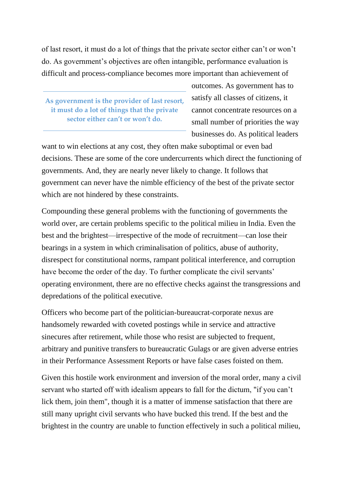of last resort, it must do a lot of things that the private sector either can't or won't do. As government's objectives are often intangible, performance evaluation is difficult and process-compliance becomes more important than achievement of

**As government is the provider of last resort, it must do a lot of things that the private sector either can't or won't do.**

outcomes. As government has to satisfy all classes of citizens, it cannot concentrate resources on a small number of priorities the way businesses do. As political leaders

want to win elections at any cost, they often make suboptimal or even bad decisions. These are some of the core undercurrents which direct the functioning of governments. And, they are nearly never likely to change. It follows that government can never have the nimble efficiency of the best of the private sector which are not hindered by these constraints.

Compounding these general problems with the functioning of governments the world over, are certain problems specific to the political milieu in India. Even the best and the brightest—irrespective of the mode of recruitment—can lose their bearings in a system in which criminalisation of politics, abuse of authority, disrespect for constitutional norms, rampant political interference, and corruption have become the order of the day. To further complicate the civil servants' operating environment, there are no effective checks against the transgressions and depredations of the political executive.

Officers who become part of the politician-bureaucrat-corporate nexus are handsomely rewarded with coveted postings while in service and attractive sinecures after retirement, while those who resist are subjected to frequent, arbitrary and punitive transfers to bureaucratic Gulags or are given adverse entries in their Performance Assessment Reports or have false cases foisted on them.

Given this hostile work environment and inversion of the moral order, many a civil servant who started off with idealism appears to fall for the dictum, "if you can't lick them, join them", though it is a matter of immense satisfaction that there are still many upright civil servants who have bucked this trend. If the best and the brightest in the country are unable to function effectively in such a political milieu,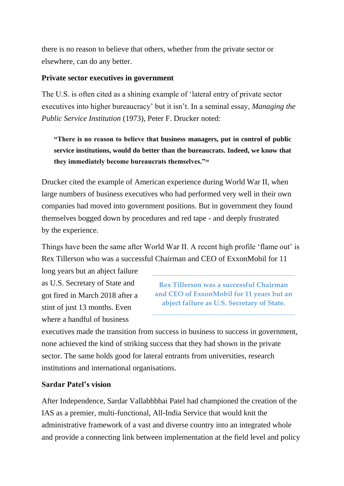there is no reason to believe that others, whether from the private sector or elsewhere, can do any better.

#### **Private sector executives in government**

The U.S. is often cited as a shining example of 'lateral entry of private sector executives into higher bureaucracy' but it isn't. In a seminal essay, *Managing the Public Service Institution* (1973), Peter F. Drucker noted:

**"There is no reason to believe that business managers, put in control of public service institutions, would do better than the bureaucrats. Indeed, we know that they immediately become bureaucrats themselves."<sup>10</sup>**

Drucker cited the example of American experience during World War II, when large number*s* of business executives who had performed very well in their own companies had moved into government positions. But in government they found themselves bogged down by procedures and red tape - and deeply frustrated by the experience.

Things have been the same after World War II. A recent high profile 'flame out' is Rex Tillerson who was a successful Chairman and CEO of ExxonMobil for 11

long years but an abject failure as U.S. Secretary of State and got fired in March 2018 after a stint of just 13 months. Even where a handful of business

**Rex Tillerson was a successful Chairman and CEO of ExxonMobil for 11 years but an abject failure as U.S. Secretary of State.**

executives made the transition from success in business to success in government, none achieved the kind of striking success that they had shown in the private sector. The same holds good for lateral entrants from universities, research institutions and international organisations.

#### **Sardar Patel's vision**

After Independence, Sardar Vallabhbhai Patel had championed the creation of the IAS as a premier, multi-functional, All-India Service that would knit the administrative framework of a vast and diverse country into an integrated whole and provide a connecting link between implementation at the field level and policy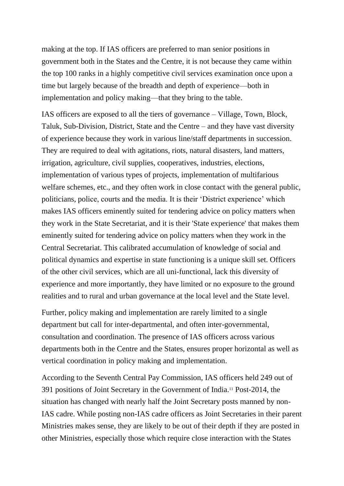making at the top. If IAS officers are preferred to man senior positions in government both in the States and the Centre, it is not because they came within the top 100 ranks in a highly competitive civil services examination once upon a time but largely because of the breadth and depth of experience—both in implementation and policy making—that they bring to the table.

IAS officers are exposed to all the tiers of governance – Village, Town, Block, Taluk, Sub-Division, District, State and the Centre – and they have vast diversity of experience because they work in various line/staff departments in succession. They are required to deal with agitations, riots, natural disasters, land matters, irrigation, agriculture, civil supplies, cooperatives, industries, elections, implementation of various types of projects, implementation of multifarious welfare schemes, etc., and they often work in close contact with the general public, politicians, police, courts and the media. It is their 'District experience' which makes IAS officers eminently suited for tendering advice on policy matters when they work in the State Secretariat, and it is their 'State experience' that makes them eminently suited for tendering advice on policy matters when they work in the Central Secretariat. This calibrated accumulation of knowledge of social and political dynamics and expertise in state functioning is a unique skill set. Officers of the other civil services, which are all uni-functional, lack this diversity of experience and more importantly, they have limited or no exposure to the ground realities and to rural and urban governance at the local level and the State level.

Further, policy making and implementation are rarely limited to a single department but call for inter-departmental, and often inter-governmental, consultation and coordination. The presence of IAS officers across various departments both in the Centre and the States, ensures proper horizontal as well as vertical coordination in policy making and implementation.

According to the Seventh Central Pay Commission, IAS officers held 249 out of 391 positions of Joint Secretary in the Government of India.<sup>11</sup> Post-2014, the situation has changed with nearly half the Joint Secretary posts manned by non-IAS cadre. While posting non-IAS cadre officers as Joint Secretaries in their parent Ministries makes sense, they are likely to be out of their depth if they are posted in other Ministries, especially those which require close interaction with the States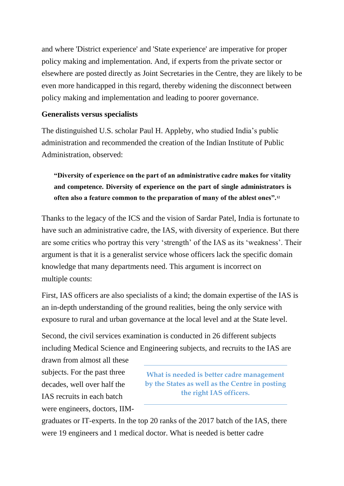and where 'District experience' and 'State experience' are imperative for proper policy making and implementation. And, if experts from the private sector or elsewhere are posted directly as Joint Secretaries in the Centre, they are likely to be even more handicapped in this regard, thereby widening the disconnect between policy making and implementation and leading to poorer governance.

#### **Generalists versus specialists**

The distinguished U.S. scholar Paul H. Appleby, who studied India's public administration and recommended the creation of the Indian Institute of Public Administration, observed:

**"Diversity of experience on the part of an administrative cadre makes for vitality and competence. Diversity of experience on the part of single administrators is often also a feature common to the preparation of many of the ablest ones".<sup>12</sup>**

Thanks to the legacy of the ICS and the vision of Sardar Patel, India is fortunate to have such an administrative cadre, the IAS, with diversity of experience. But there are some critics who portray this very 'strength' of the IAS as its 'weakness'. Their argument is that it is a generalist service whose officers lack the specific domain knowledge that many departments need. This argument is incorrect on multiple counts:

First, IAS officers are also specialists of a kind; the domain expertise of the IAS is an in-depth understanding of the ground realities, being the only service with exposure to rural and urban governance at the local level and at the State level.

Second, the civil services examination is conducted in 26 different subjects including Medical Science and Engineering subjects, and recruits to the IAS are

drawn from almost all these subjects. For the past three decades, well over half the IAS recruits in each batch were engineers, doctors, IIM-

**What is needed is better cadre management by the States as well as the Centre in posting the right IAS officers.**

graduates or IT-experts. In the top 20 ranks of the 2017 batch of the IAS, there were 19 engineers and 1 medical doctor. What is needed is better cadre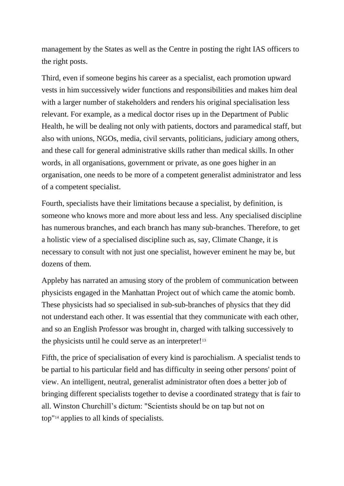management by the States as well as the Centre in posting the right IAS officers to the right posts.

Third, even if someone begins his career as a specialist, each promotion upward vests in him successively wider functions and responsibilities and makes him deal with a larger number of stakeholders and renders his original specialisation less relevant. For example, as a medical doctor rises up in the Department of Public Health, he will be dealing not only with patients, doctors and paramedical staff, but also with unions, NGOs, media, civil servants, politicians, judiciary among others, and these call for general administrative skills rather than medical skills. In other words, in all organisations, government or private, as one goes higher in an organisation, one needs to be more of a competent generalist administrator and less of a competent specialist.

Fourth, specialists have their limitations because a specialist, by definition, is someone who knows more and more about less and less. Any specialised discipline has numerous branches, and each branch has many sub-branches. Therefore, to get a holistic view of a specialised discipline such as, say, Climate Change, it is necessary to consult with not just one specialist, however eminent he may be, but dozens of them.

Appleby has narrated an amusing story of the problem of communication between physicists engaged in the Manhattan Project out of which came the atomic bomb. These physicists had so specialised in sub-sub-branches of physics that they did not understand each other. It was essential that they communicate with each other, and so an English Professor was brought in, charged with talking successively to the physicists until he could serve as an interpreter!<sup>13</sup>

Fifth, the price of specialisation of every kind is parochialism. A specialist tends to be partial to his particular field and has difficulty in seeing other persons' point of view. An intelligent, neutral, generalist administrator often does a better job of bringing different specialists together to devise a coordinated strategy that is fair to all. Winston Churchill's dictum: "Scientists should be on tap but not on top"<sup>14</sup> applies to all kinds of specialists.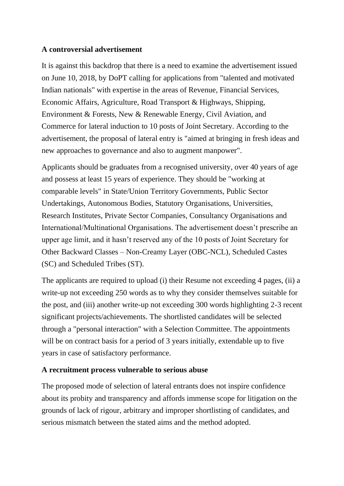#### **A controversial advertisement**

It is against this backdrop that there is a need to examine the advertisement issued on June 10, 2018, by DoPT calling for applications from "talented and motivated Indian nationals" with expertise in the areas of Revenue, Financial Services, Economic Affairs, Agriculture, Road Transport & Highways, Shipping, Environment & Forests, New & Renewable Energy, Civil Aviation, and Commerce for lateral induction to 10 posts of Joint Secretary. According to the advertisement, the proposal of lateral entry is "aimed at bringing in fresh ideas and new approaches to governance and also to augment manpower".

Applicants should be graduates from a recognised university, over 40 years of age and possess at least 15 years of experience. They should be "working at comparable levels" in State/Union Territory Governments, Public Sector Undertakings, Autonomous Bodies, Statutory Organisations, Universities, Research Institutes, Private Sector Companies, Consultancy Organisations and International/Multinational Organisations. The advertisement doesn't prescribe an upper age limit, and it hasn't reserved any of the 10 posts of Joint Secretary for Other Backward Classes – Non-Creamy Layer (OBC-NCL), Scheduled Castes (SC) and Scheduled Tribes (ST).

The applicants are required to upload (i) their Resume not exceeding 4 pages, (ii) a write-up not exceeding 250 words as to why they consider themselves suitable for the post, and (iii) another write-up not exceeding 300 words highlighting 2-3 recent significant projects/achievements. The shortlisted candidates will be selected through a "personal interaction" with a Selection Committee. The appointments will be on contract basis for a period of 3 years initially, extendable up to five years in case of satisfactory performance.

## **A recruitment process vulnerable to serious abuse**

The proposed mode of selection of lateral entrants does not inspire confidence about its probity and transparency and affords immense scope for litigation on the grounds of lack of rigour, arbitrary and improper shortlisting of candidates, and serious mismatch between the stated aims and the method adopted.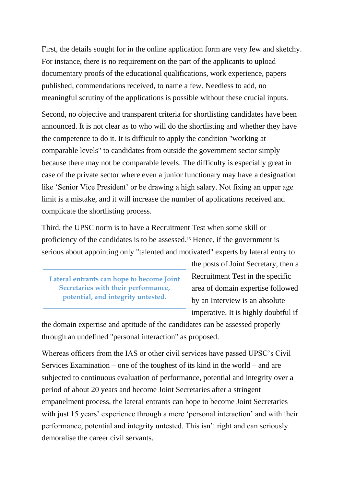First, the details sought for in the online application form are very few and sketchy. For instance, there is no requirement on the part of the applicants to upload documentary proofs of the educational qualifications, work experience, papers published, commendations received, to name a few. Needless to add, no meaningful scrutiny of the applications is possible without these crucial inputs.

Second, no objective and transparent criteria for shortlisting candidates have been announced. It is not clear as to who will do the shortlisting and whether they have the competence to do it. It is difficult to apply the condition "working at comparable levels" to candidates from outside the government sector simply because there may not be comparable levels. The difficulty is especially great in case of the private sector where even a junior functionary may have a designation like 'Senior Vice President' or be drawing a high salary. Not fixing an upper age limit is a mistake, and it will increase the number of applications received and complicate the shortlisting process.

Third, the UPSC norm is to have a Recruitment Test when some skill or proficiency of the candidates is to be assessed.<sup>15</sup> Hence, if the government is serious about appointing only "talented and motivated" experts by lateral entry to

**Lateral entrants can hope to become Joint Secretaries with their performance, potential, and integrity untested.**

the posts of Joint Secretary, then a Recruitment Test in the specific area of domain expertise followed by an Interview is an absolute imperative. It is highly doubtful if

the domain expertise and aptitude of the candidates can be assessed properly through an undefined "personal interaction" as proposed.

Whereas officers from the IAS or other civil services have passed UPSC's Civil Services Examination – one of the toughest of its kind in the world – and are subjected to continuous evaluation of performance, potential and integrity over a period of about 20 years and become Joint Secretaries after a stringent empanelment process, the lateral entrants can hope to become Joint Secretaries with just 15 years' experience through a mere 'personal interaction' and with their performance, potential and integrity untested. This isn't right and can seriously demoralise the career civil servants.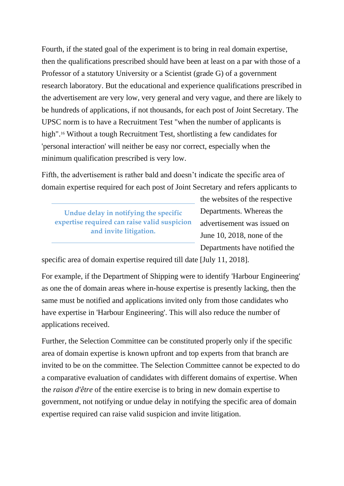Fourth, if the stated goal of the experiment is to bring in real domain expertise, then the qualifications prescribed should have been at least on a par with those of a Professor of a statutory University or a Scientist (grade G) of a government research laboratory. But the educational and experience qualifications prescribed in the advertisement are very low, very general and very vague, and there are likely to be hundreds of applications, if not thousands, for each post of Joint Secretary. The UPSC norm is to have a Recruitment Test "when the number of applicants is high".<sup>16</sup> Without a tough Recruitment Test, shortlisting a few candidates for 'personal interaction' will neither be easy nor correct, especially when the minimum qualification prescribed is very low.

Fifth, the advertisement is rather bald and doesn't indicate the specific area of domain expertise required for each post of Joint Secretary and refers applicants to

**Undue delay in notifying the specific expertise required can raise valid suspicion and invite litigation.**

the websites of the respective Departments. Whereas the advertisement was issued on June 10, 2018, none of the Departments have notified the

specific area of domain expertise required till date [July 11, 2018].

For example, if the Department of Shipping were to identify 'Harbour Engineering' as one the of domain areas where in-house expertise is presently lacking, then the same must be notified and applications invited only from those candidates who have expertise in 'Harbour Engineering'. This will also reduce the number of applications received.

Further, the Selection Committee can be constituted properly only if the specific area of domain expertise is known upfront and top experts from that branch are invited to be on the committee. The Selection Committee cannot be expected to do a comparative evaluation of candidates with different domains of expertise. When the *raison d'être* of the entire exercise is to bring in new domain expertise to government, not notifying or undue delay in notifying the specific area of domain expertise required can raise valid suspicion and invite litigation.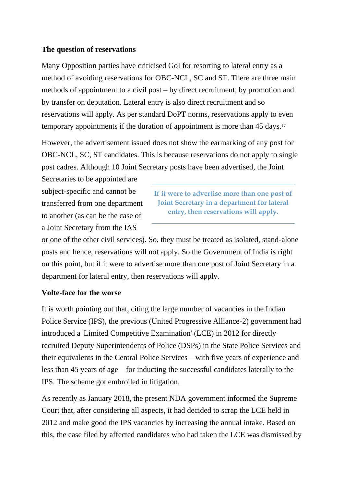#### **The question of reservations**

Many Opposition parties have criticised GoI for resorting to lateral entry as a method of avoiding reservations for OBC-NCL, SC and ST. There are three main methods of appointment to a civil post – by direct recruitment, by promotion and by transfer on deputation. Lateral entry is also direct recruitment and so reservations will apply. As per standard DoPT norms, reservations apply to even temporary appointments if the duration of appointment is more than 45 days.<sup>17</sup>

However, the advertisement issued does not show the earmarking of any post for OBC-NCL, SC, ST candidates. This is because reservations do not apply to single post cadres. Although 10 Joint Secretary posts have been advertised, the Joint

Secretaries to be appointed are subject-specific and cannot be transferred from one department to another (as can be the case of a Joint Secretary from the IAS

**If it were to advertise more than one post of Joint Secretary in a department for lateral entry, then reservations will apply.**

or one of the other civil services). So, they must be treated as isolated, stand-alone posts and hence, reservations will not apply. So the Government of India is right on this point, but if it were to advertise more than one post of Joint Secretary in a department for lateral entry, then reservations will apply.

#### **Volte-face for the worse**

It is worth pointing out that, citing the large number of vacancies in the Indian Police Service (IPS), the previous (United Progressive Alliance-2) government had introduced a 'Limited Competitive Examination' (LCE) in 2012 for directly recruited Deputy Superintendents of Police (DSPs) in the State Police Services and their equivalents in the Central Police Services—with five years of experience and less than 45 years of age—for inducting the successful candidates laterally to the IPS. The scheme got embroiled in litigation.

As recently as January 2018, the present NDA government informed the Supreme Court that, after considering all aspects, it had decided to scrap the LCE held in 2012 and make good the IPS vacancies by increasing the annual intake. Based on this, the case filed by affected candidates who had taken the LCE was dismissed by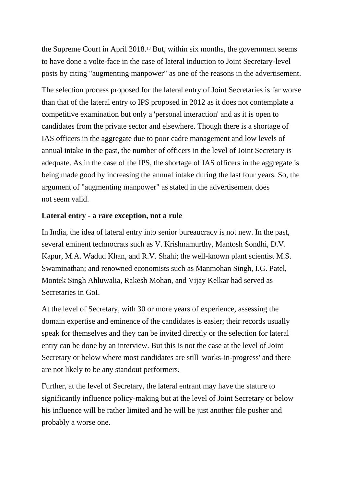the Supreme Court in April 2018.<sup>18</sup> But, within six months, the government seems to have done a volte-face in the case of lateral induction to Joint Secretary-level posts by citing "augmenting manpower" as one of the reasons in the advertisement.

The selection process proposed for the lateral entry of Joint Secretaries is far worse than that of the lateral entry to IPS proposed in 2012 as it does not contemplate a competitive examination but only a 'personal interaction' and as it is open to candidates from the private sector and elsewhere. Though there is a shortage of IAS officers in the aggregate due to poor cadre management and low levels of annual intake in the past, the number of officers in the level of Joint Secretary is adequate. As in the case of the IPS, the shortage of IAS officers in the aggregate is being made good by increasing the annual intake during the last four years. So, the argument of "augmenting manpower" as stated in the advertisement does not seem valid.

#### **Lateral entry - a rare exception, not a rule**

In India, the idea of lateral entry into senior bureaucracy is not new. In the past, several eminent technocrats such as V. Krishnamurthy, Mantosh Sondhi, D.V. Kapur, M.A. Wadud Khan, and R.V. Shahi; the well-known plant scientist M.S. Swaminathan; and renowned economists such as Manmohan Singh, I.G. Patel, Montek Singh Ahluwalia, Rakesh Mohan, and Vijay Kelkar had served as Secretaries in GoI.

At the level of Secretary, with 30 or more years of experience, assessing the domain expertise and eminence of the candidates is easier; their records usually speak for themselves and they can be invited directly or the selection for lateral entry can be done by an interview. But this is not the case at the level of Joint Secretary or below where most candidates are still 'works-in-progress' and there are not likely to be any standout performers.

Further, at the level of Secretary, the lateral entrant may have the stature to significantly influence policy-making but at the level of Joint Secretary or below his influence will be rather limited and he will be just another file pusher and probably a worse one.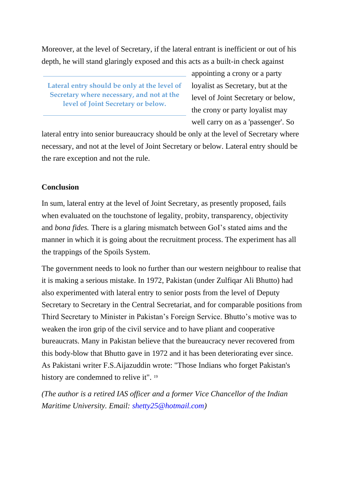Moreover, at the level of Secretary, if the lateral entrant is inefficient or out of his depth, he will stand glaringly exposed and this acts as a built-in check against

**Lateral entry should be only at the level of Secretary where necessary, and not at the level of Joint Secretary or below.**

appointing a crony or a party loyalist as Secretary, but at the level of Joint Secretary or below, the crony or party loyalist may well carry on as a 'passenger'. So

lateral entry into senior bureaucracy should be only at the level of Secretary where necessary, and not at the level of Joint Secretary or below. Lateral entry should be the rare exception and not the rule.

#### **Conclusion**

In sum, lateral entry at the level of Joint Secretary, as presently proposed, fails when evaluated on the touchstone of legality, probity, transparency, objectivity and *bona fides.* There is a glaring mismatch between GoI's stated aims and the manner in which it is going about the recruitment process. The experiment has all the trappings of the Spoils System.

The government needs to look no further than our western neighbour to realise that it is making a serious mistake. In 1972, Pakistan (under Zulfiqar Ali Bhutto) had also experimented with lateral entry to senior posts from the level of Deputy Secretary to Secretary in the Central Secretariat, and for comparable positions from Third Secretary to Minister in Pakistan's Foreign Service. Bhutto's motive was to weaken the iron grip of the civil service and to have pliant and cooperative bureaucrats. Many in Pakistan believe that the bureaucracy never recovered from this body-blow that Bhutto gave in 1972 and it has been deteriorating ever since. As Pakistani writer F.S.Aijazuddin wrote: "Those Indians who forget Pakistan's history are condemned to relive it". <sup>19</sup>

*(The author is a retired IAS officer and a former Vice Chancellor of the Indian Maritime University. Email: [shetty25@hotmail.com\)](mailto:%20shetty25@hotmail.com)*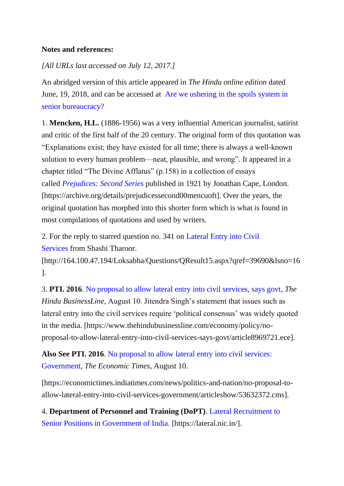## **Notes and references:**

# *[All URLs last accessed on July 12, 2017.]*

An abridged version of this article appeared in *The Hindu online edition* dated June, 19, 2018, and can be accessed at [Are we ushering in the spoils system in](https://www.thehindu.com/thread/politics-and-policy/lateral-entry-into-senior-bureaucracy-opening-the-flood-gates-for-a-spoils-system/article24201356.ece)  [senior bureaucracy?](https://www.thehindu.com/thread/politics-and-policy/lateral-entry-into-senior-bureaucracy-opening-the-flood-gates-for-a-spoils-system/article24201356.ece)

1. **Mencken, H.L.** (1886-1956) was a very influential American journalist, satirist and critic of the first half of the 20 century. The original form of this quotation was "Explanations exist; they have existed for all time; there is always a well-known solution to every human problem—neat, plausible, and wrong"*.* It appeared in a chapter titled "The Divine Afflatus" (p.158) in a collection of essays called *[Prejudices: Second Series](https://archive.org/details/prejudicessecond00mencuoft)* published in 1921 by Jonathan Cape, London. [https://archive.org/details/prejudicessecond00mencuoft]. Over the years, the original quotation has morphed into this shorter form which is what is found in most compilations of quotations and used by writers.

2. For the reply to starred question no. 341 on [Lateral Entry into Civil](https://www.thehinducentre.com/the-arena/current-issues/article24387828.ece/binary/AS341)  [Services](https://www.thehinducentre.com/the-arena/current-issues/article24387828.ece/binary/AS341) from Shashi Tharoor.

[http://164.100.47.194/Loksabha/Questions/QResult15.aspx?qref=39690&lsno=16 ].

3. **PTI. 2016**. [No proposal to allow lateral entry into civil services, says govt,](https://www.thehindubusinessline.com/economy/policy/no-proposal-to-allow-lateral-entry-into-civil-services-says-govt/article8969721.ece) *The Hindu BusinessLine*, August 10. Jitendra Singh's statement that issues such as lateral entry into the civil services require 'political consensus' was widely quoted in the media. [https://www.thehindubusinessline.com/economy/policy/noproposal-to-allow-lateral-entry-into-civil-services-says-govt/article8969721.ece].

**Also See PTI. 2016**. [No proposal to allow lateral entry into civil services:](https://economictimes.indiatimes.com/news/politics-and-nation/no-proposal-to-allow-lateral-entry-into-civil-services-government/articleshow/53632372.cms)  [Government,](https://economictimes.indiatimes.com/news/politics-and-nation/no-proposal-to-allow-lateral-entry-into-civil-services-government/articleshow/53632372.cms) *The Economic Times*, August 10.

[https://economictimes.indiatimes.com/news/politics-and-nation/no-proposal-toallow-lateral-entry-into-civil-services-government/articleshow/53632372.cms].

4. **Department of Personnel and Training (DoPT)**. [Lateral Recruitment to](https://lateral.nic.in/)  [Senior Positions in Government of India.](https://lateral.nic.in/) [https://lateral.nic.in/].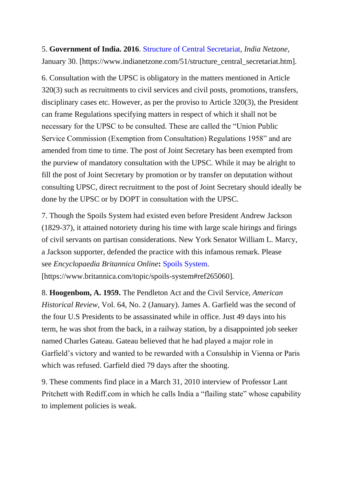5. **Government of India. 2016**. [Structure of Central Secretariat,](https://www.indianetzone.com/51/structure_central_secretariat.htm) *India Netzone*, January 30. [https://www.indianetzone.com/51/structure\_central\_secretariat.htm].

6. Consultation with the UPSC is obligatory in the matters mentioned in Article 320(3) such as recruitments to civil services and civil posts, promotions, transfers, disciplinary cases etc. However, as per the proviso to Article 320(3), the President can frame Regulations specifying matters in respect of which it shall not be necessary for the UPSC to be consulted. These are called the "Union Public Service Commission (Exemption from Consultation) Regulations 1958" and are amended from time to time. The post of Joint Secretary has been exempted from the purview of mandatory consultation with the UPSC. While it may be alright to fill the post of Joint Secretary by promotion or by transfer on deputation without consulting UPSC, direct recruitment to the post of Joint Secretary should ideally be done by the UPSC or by DOPT in consultation with the UPSC.

7. Though the Spoils System had existed even before President Andrew Jackson (1829-37), it attained notoriety during his time with large scale hirings and firings of civil servants on partisan considerations. New York Senator William L. Marcy, a Jackson supporter, defended the practice with this infamous remark. Please see *Encyclopaedia Britannica Online***:** [Spoils System.](https://www.britannica.com/topic/spoils-system#ref265060) [https://www.britannica.com/topic/spoils-system#ref265060].

8. **Hoogenbom, A. 1959.** The Pendleton Act and the Civil Service, *American Historical Review,* Vol. 64, No. 2 (January). James A. Garfield was the second of the four U.S Presidents to be assassinated while in office. Just 49 days into his term, he was shot from the back, in a railway station, by a disappointed job seeker named Charles Gateau. Gateau believed that he had played a major role in Garfield's victory and wanted to be rewarded with a Consulship in Vienna or Paris which was refused. Garfield died 79 days after the shooting.

9. These comments find place in a March 31, 2010 interview of Professor Lant Pritchett with Rediff.com in which he calls India a "flailing state" whose capability to implement policies is weak.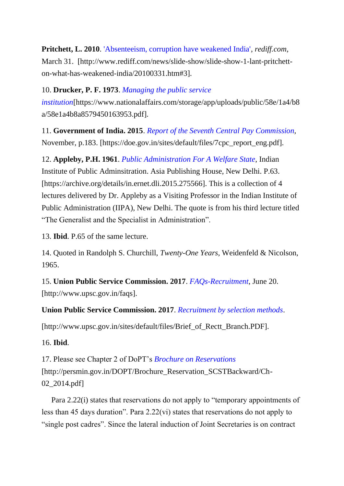# **Pritchett, L. 2010**. ['Absenteeism, corruption have weakened India',](http://www.rediff.com/news/slide-show/slide-show-1-lant-pritchett-on-what-has-weakened-india/20100331.htm#3) *rediff.com*, March 31. [http://www.rediff.com/news/slide-show/slide-show-1-lant-pritchetton-what-has-weakened-india/20100331.htm#3].

# 10. **Drucker, P. F. 1973**. *[Managing the public service](https://www.thehinducentre.com/the-arena/current-issues/article24387493.ece/binary/58e1a4b8a8579450163953)*

*[institution](https://www.thehinducentre.com/the-arena/current-issues/article24387493.ece/binary/58e1a4b8a8579450163953)*[https://www.nationalaffairs.com/storage/app/uploads/public/58e/1a4/b8 a/58e1a4b8a8579450163953.pdf].

11. **Government of India. 2015**. *[Report of the Seventh Central Pay Commission](https://www.thehinducentre.com/the-arena/current-issues/article24387423.ece/binary/7cpc_report_eng)*, November, p.183. [https://doe.gov.in/sites/default/files/7cpc\_report\_eng.pdf].

12. **Appleby, P.H. 1961**. *[Public Administration For A Welfare State](https://archive.org/details/in.ernet.dli.2015.275566)*, Indian Institute of Public Adminsitration. Asia Publishing House, New Delhi. P.63. [https://archive.org/details/in.ernet.dli.2015.275566]. This is a collection of 4 lectures delivered by Dr. Appleby as a Visiting Professor in the Indian Institute of Public Administration (IIPA), New Delhi. The quote is from his third lecture titled "The Generalist and the Specialist in Administration".

13. **Ibid**. P.65 of the same lecture.

14. Quoted in Randolph S. Churchill, *Twenty-One Years*, Weidenfeld & Nicolson, 1965.

15. **Union Public Service Commission. 2017**. *[FAQs-Recruitment](http://www.upsc.gov.in/faqs)*, June 20. [http://www.upsc.gov.in/faqs].

**Union Public Service Commission. 2017**. *[Recruitment by selection methods](https://www.thehinducentre.com/the-arena/current-issues/article24387328.ece/binary/Brief_of_Rectt_Branch)*.

[http://www.upsc.gov.in/sites/default/files/Brief\_of\_Rectt\_Branch.PDF].

16. **Ibid**.

17. Please see Chapter 2 of DoPT's *[Brochure on Reservations](http://persmin.gov.in/DOPT/Brochure_Reservation_SCSTBackward/Ch-02_2014.pdf)* [http://persmin.gov.in/DOPT/Brochure\_Reservation\_SCSTBackward/Ch-02\_2014.pdf]

 Para 2.22(i) states that reservations do not apply to "temporary appointments of less than 45 days duration". Para 2.22(vi) states that reservations do not apply to "single post cadres". Since the lateral induction of Joint Secretaries is on contract